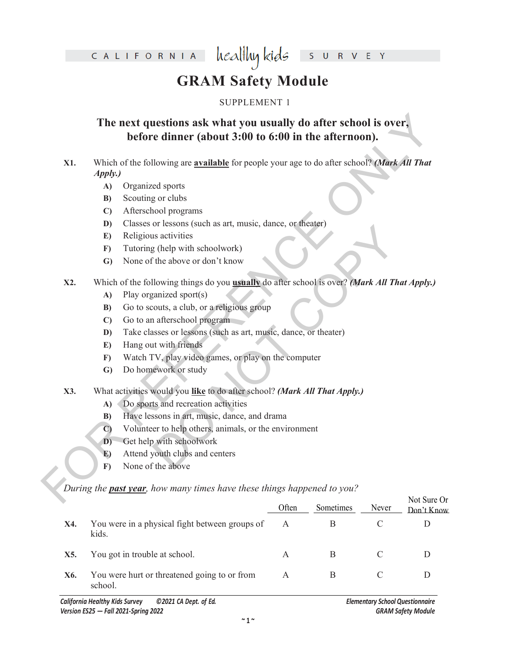healthy kids CALIFORNIA

 $\overline{\mathsf{S}}$ R V E Y

# **GRAM Safety Module**

### SUPPLEMENT 1

# **The next questions ask what you usually do after school is over,**<br> **Extract the properties of the school is to the afternoon).**<br> **EX1.** Which of the following are <u>available</u> for people your age to do after school? (*Mar* **The next questions ask what you usually do after school is over, before dinner (about 3:00 to 6:00 in the afternoon).**

- **X1.** Which of the following are **available** for people your age to do after school? *(Mark All That Apply.)*
	- **A)** Organized sports
	- **B)** Scouting or clubs
	- **C)** Afterschool programs
	- **D)** Classes or lessons (such as art, music, dance, or theater)
	- **E)** Religious activities
	- **F)** Tutoring (help with schoolwork)
	- **G)** None of the above or don't know
- or exastis (see as at, masse, dance, or ancade)<br>
is activities<br>
is activities<br>
(help with schoolwork)<br>
the above or don't know<br>
llowing things do you **usnally** do after school is over? *Mark All That*<br>
samized sport(s)<br> **X2.** Which of the following things do you **usually** do after school is over? *(Mark All That Apply.)*
	- **A)** Play organized sport(s)
	- **B)** Go to scouts, a club, or a religious group
	- **C)** Go to an afterschool program
	- **D)** Take classes or lessons (such as art, music, dance, or theater)
	- **E)** Hang out with friends
	- **F)** Watch TV, play video games, or play on the computer
	- **G)** Do homework or study

### **X3.** What activities would you **like** to do after school? *(Mark All That Apply.)*

- **A)** Do sports and recreation activities
- **B)** Have lessons in art, music, dance, and drama
- **C)** Volunteer to help others, animals, or the environment
- **D)** Get help with schoolwork
- **E)** Attend youth clubs and centers
- **F)** None of the above

*During the past year, how many times have these things happened to you?* 

|     |                                                         | Often        | Sometimes | Never | Not Sure Or<br>Don't Know |
|-----|---------------------------------------------------------|--------------|-----------|-------|---------------------------|
| X4. | You were in a physical fight between groups of<br>kids. | $\mathbf{A}$ | B         |       |                           |
| X5. | You got in trouble at school.                           | A            | В         |       |                           |
| X6. | You were hurt or threatened going to or from<br>school. | A            | B         |       |                           |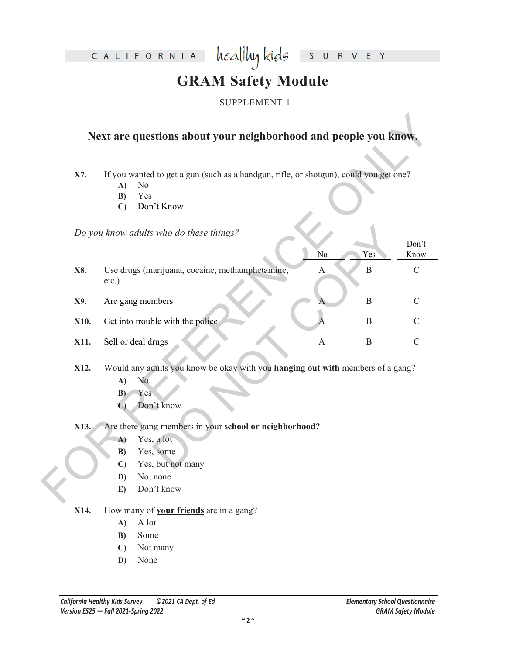CALIFORNIA

R V E Y  $S$  U

# **GRAM Safety Module**

healthy kids

### SUPPLEMENT 1

## **Next are questions about your neighborhood and people you know.**

- **A)** No
- **B)** Yes
- **C)** Don't Know

|      | Next are questions about your neighborhood and people you know.                                                                                          |                           |              |               |
|------|----------------------------------------------------------------------------------------------------------------------------------------------------------|---------------------------|--------------|---------------|
| X7.  | If you wanted to get a gun (such as a handgun, rifle, or shotgun), could you get one?<br>N <sub>0</sub><br>A)<br>Yes<br>B)<br>Don't Know<br>$\mathbf{C}$ |                           |              |               |
|      | Do you know adults who do these things?                                                                                                                  | No                        | Yes          | Don't<br>Know |
| X8.  | Use drugs (marijuana, cocaine, methamphetamine,<br>etc.)                                                                                                 | $\mathbf{A}$              | $\, {\bf B}$ | $\mathcal{C}$ |
| X9.  | Are gang members                                                                                                                                         |                           | $\mathbf B$  | $\mathcal{C}$ |
| X10. | Get into trouble with the police                                                                                                                         |                           | $\mathbf B$  | $\mathcal{C}$ |
| X11. | Sell or deal drugs                                                                                                                                       | $\boldsymbol{\mathsf{A}}$ | $\, {\bf B}$ | $\mathcal{C}$ |
| X12. | Would any adults you know be okay with you hanging out with members of a gang?<br>No<br>A)<br>Yes<br>B)<br>Don't know<br>$\mathbf{C}$                    |                           |              |               |
| X13. | Are there gang members in your school or neighborhood?                                                                                                   |                           |              |               |
|      | Yes, a lot<br>$\mathbf{A}$                                                                                                                               |                           |              |               |
|      | Yes, some<br>B)<br>Yes, but not many<br>$\mathbf{C}$                                                                                                     |                           |              |               |
|      | No, none<br>D)                                                                                                                                           |                           |              |               |
|      | Don't know<br>E)                                                                                                                                         |                           |              |               |

- **X12.** Would any adults you know be okay with you **hanging out with** members of a gang?
	- **A)** No
	- **B)** Yes
	- **C)** Don't know
- **X13.** Are there gang members in your **school or neighborhood?** 
	- **A)** Yes, a lot
	- **B)** Yes, some
	- **C)** Yes, but not many
	- **D)** No, none
	- **E)** Don't know
- **X14.** How many of **your friends** are in a gang?
	- **A)** A lot
	- **B)** Some
	- **C)** Not many
	- **D)** None